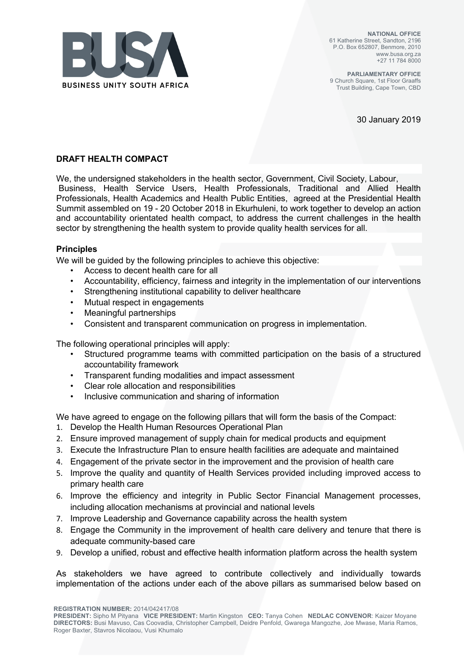

**NATIONAL OFFICE** 61 Katherine Street, Sandton, 2196 P.O. Box 652807, Benmore, 2010 www.busa.org.za +27 11 784 8000

**PARLIAMENTARY OFFICE** 9 Church Square, 1st Floor Graaffs Trust Building, Cape Town, CBD

30 January 2019

#### **DRAFT HEALTH COMPACT**

We, the undersigned stakeholders in the health sector, Government, Civil Society, Labour, Business, Health Service Users, Health Professionals, Traditional and Allied Health Professionals, Health Academics and Health Public Entities, agreed at the Presidential Health Summit assembled on 19 - 20 October 2018 in Ekurhuleni, to work together to develop an action and accountability orientated health compact, to address the current challenges in the health sector by strengthening the health system to provide quality health services for all.

#### **Principles**

We will be guided by the following principles to achieve this objective:

- Access to decent health care for all
- Accountability, efficiency, fairness and integrity in the implementation of our interventions
- Strengthening institutional capability to deliver healthcare
- Mutual respect in engagements
- Meaningful partnerships
- Consistent and transparent communication on progress in implementation.

The following operational principles will apply:

- Structured programme teams with committed participation on the basis of a structured accountability framework
- Transparent funding modalities and impact assessment
- Clear role allocation and responsibilities
- Inclusive communication and sharing of information

We have agreed to engage on the following pillars that will form the basis of the Compact:

- 1. Develop the Health Human Resources Operational Plan
- 2. Ensure improved management of supply chain for medical products and equipment
- 3. Execute the Infrastructure Plan to ensure health facilities are adequate and maintained
- 4. Engagement of the private sector in the improvement and the provision of health care
- 5. Improve the quality and quantity of Health Services provided including improved access to primary health care
- 6. Improve the efficiency and integrity in Public Sector Financial Management processes, including allocation mechanisms at provincial and national levels
- 7. Improve Leadership and Governance capability across the health system
- 8. Engage the Community in the improvement of health care delivery and tenure that there is adequate community-based care
- 9. Develop a unified, robust and effective health information platform across the health system

As stakeholders we have agreed to contribute collectively and individually towards implementation of the actions under each of the above pillars as summarised below based on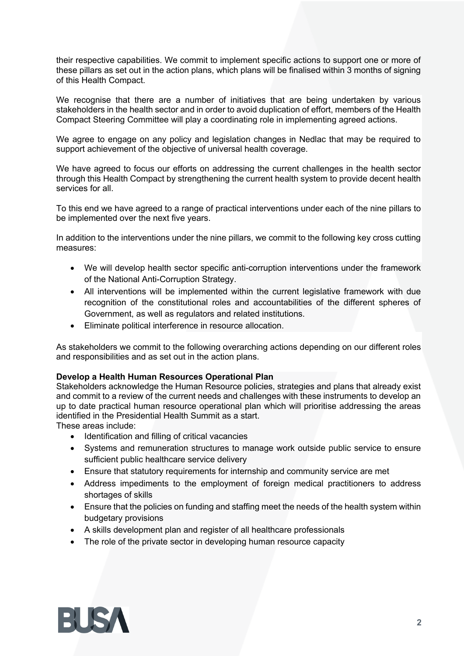their respective capabilities. We commit to implement specific actions to support one or more of these pillars as set out in the action plans, which plans will be finalised within 3 months of signing of this Health Compact.

We recognise that there are a number of initiatives that are being undertaken by various stakeholders in the health sector and in order to avoid duplication of effort, members of the Health Compact Steering Committee will play a coordinating role in implementing agreed actions.

We agree to engage on any policy and legislation changes in Nedlac that may be required to support achievement of the objective of universal health coverage.

We have agreed to focus our efforts on addressing the current challenges in the health sector through this Health Compact by strengthening the current health system to provide decent health services for all

To this end we have agreed to a range of practical interventions under each of the nine pillars to be implemented over the next five years.

In addition to the interventions under the nine pillars, we commit to the following key cross cutting measures:

- We will develop health sector specific anti-corruption interventions under the framework of the National Anti-Corruption Strategy.
- All interventions will be implemented within the current legislative framework with due recognition of the constitutional roles and accountabilities of the different spheres of Government, as well as regulators and related institutions.
- Eliminate political interference in resource allocation.

As stakeholders we commit to the following overarching actions depending on our different roles and responsibilities and as set out in the action plans.

#### **Develop a Health Human Resources Operational Plan**

Stakeholders acknowledge the Human Resource policies, strategies and plans that already exist and commit to a review of the current needs and challenges with these instruments to develop an up to date practical human resource operational plan which will prioritise addressing the areas identified in the Presidential Health Summit as a start.

These areas include:

- Identification and filling of critical vacancies
- Systems and remuneration structures to manage work outside public service to ensure sufficient public healthcare service delivery
- Ensure that statutory requirements for internship and community service are met
- Address impediments to the employment of foreign medical practitioners to address shortages of skills
- Ensure that the policies on funding and staffing meet the needs of the health system within budgetary provisions
- A skills development plan and register of all healthcare professionals
- The role of the private sector in developing human resource capacity

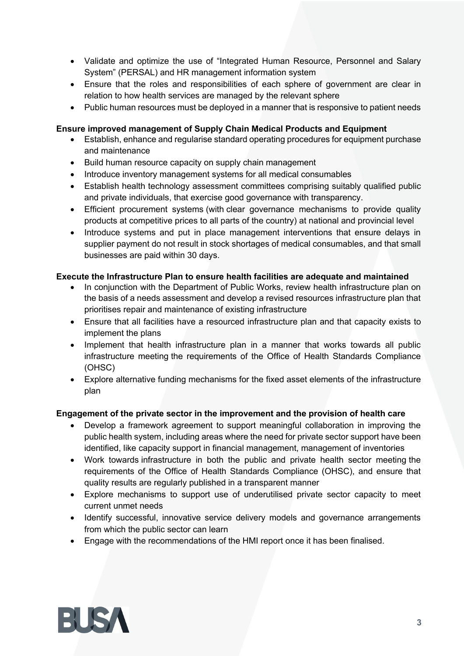- Validate and optimize the use of "Integrated Human Resource, Personnel and Salary System" (PERSAL) and HR management information system
- Ensure that the roles and responsibilities of each sphere of government are clear in relation to how health services are managed by the relevant sphere
- Public human resources must be deployed in a manner that is responsive to patient needs

## **Ensure improved management of Supply Chain Medical Products and Equipment**

- Establish, enhance and regularise standard operating procedures for equipment purchase and maintenance
- Build human resource capacity on supply chain management
- Introduce inventory management systems for all medical consumables
- Establish health technology assessment committees comprising suitably qualified public and private individuals, that exercise good governance with transparency.
- Efficient procurement systems (with clear governance mechanisms to provide quality products at competitive prices to all parts of the country) at national and provincial level
- Introduce systems and put in place management interventions that ensure delays in supplier payment do not result in stock shortages of medical consumables, and that small businesses are paid within 30 days.

### **Execute the Infrastructure Plan to ensure health facilities are adequate and maintained**

- In conjunction with the Department of Public Works, review health infrastructure plan on the basis of a needs assessment and develop a revised resources infrastructure plan that prioritises repair and maintenance of existing infrastructure
- Ensure that all facilities have a resourced infrastructure plan and that capacity exists to implement the plans
- Implement that health infrastructure plan in a manner that works towards all public infrastructure meeting the requirements of the Office of Health Standards Compliance (OHSC)
- Explore alternative funding mechanisms for the fixed asset elements of the infrastructure plan

### **Engagement of the private sector in the improvement and the provision of health care**

- Develop a framework agreement to support meaningful collaboration in improving the public health system, including areas where the need for private sector support have been identified, like capacity support in financial management, management of inventories
- Work towards infrastructure in both the public and private health sector meeting the requirements of the Office of Health Standards Compliance (OHSC), and ensure that quality results are regularly published in a transparent manner
- Explore mechanisms to support use of underutilised private sector capacity to meet current unmet needs
- Identify successful, innovative service delivery models and governance arrangements from which the public sector can learn
- Engage with the recommendations of the HMI report once it has been finalised.

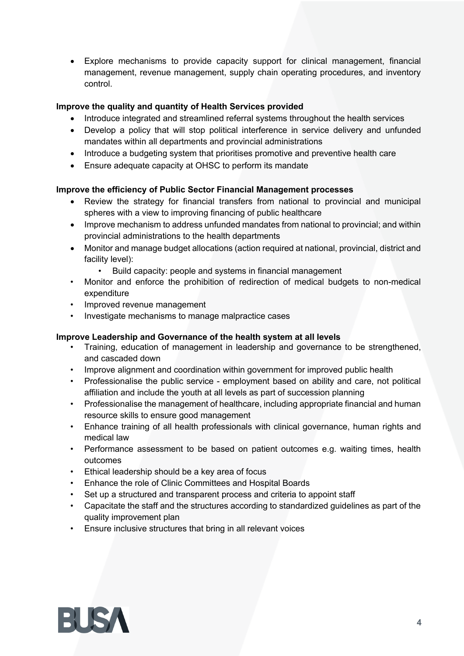• Explore mechanisms to provide capacity support for clinical management, financial management, revenue management, supply chain operating procedures, and inventory control.

# **Improve the quality and quantity of Health Services provided**

- Introduce integrated and streamlined referral systems throughout the health services
- Develop a policy that will stop political interference in service delivery and unfunded mandates within all departments and provincial administrations
- Introduce a budgeting system that prioritises promotive and preventive health care
- Ensure adequate capacity at OHSC to perform its mandate

#### **Improve the efficiency of Public Sector Financial Management processes**

- Review the strategy for financial transfers from national to provincial and municipal spheres with a view to improving financing of public healthcare
- Improve mechanism to address unfunded mandates from national to provincial; and within provincial administrations to the health departments
- Monitor and manage budget allocations (action required at national, provincial, district and facility level):
	- Build capacity: people and systems in financial management
- Monitor and enforce the prohibition of redirection of medical budgets to non-medical expenditure
- Improved revenue management
- Investigate mechanisms to manage malpractice cases

#### **Improve Leadership and Governance of the health system at all levels**

- Training, education of management in leadership and governance to be strengthened, and cascaded down
- Improve alignment and coordination within government for improved public health
- Professionalise the public service employment based on ability and care, not political affiliation and include the youth at all levels as part of succession planning
- Professionalise the management of healthcare, including appropriate financial and human resource skills to ensure good management
- Enhance training of all health professionals with clinical governance, human rights and medical law
- Performance assessment to be based on patient outcomes e.g. waiting times, health outcomes
- Ethical leadership should be a key area of focus
- Enhance the role of Clinic Committees and Hospital Boards
- Set up a structured and transparent process and criteria to appoint staff
- Capacitate the staff and the structures according to standardized guidelines as part of the quality improvement plan
- Ensure inclusive structures that bring in all relevant voices